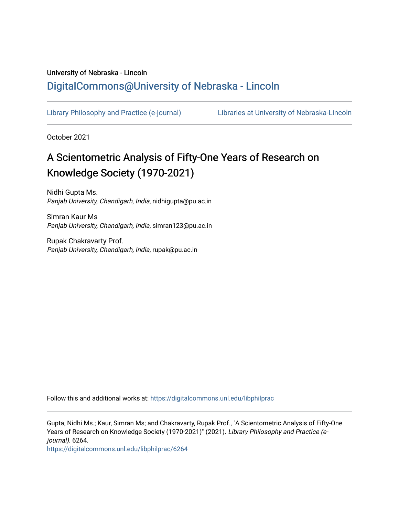# University of Nebraska - Lincoln [DigitalCommons@University of Nebraska - Lincoln](https://digitalcommons.unl.edu/)

[Library Philosophy and Practice \(e-journal\)](https://digitalcommons.unl.edu/libphilprac) [Libraries at University of Nebraska-Lincoln](https://digitalcommons.unl.edu/libraries) 

October 2021

# A Scientometric Analysis of Fifty-One Years of Research on Knowledge Society (1970-2021)

Nidhi Gupta Ms. Panjab University, Chandigarh, India, nidhigupta@pu.ac.in

Simran Kaur Ms Panjab University, Chandigarh, India, simran123@pu.ac.in

Rupak Chakravarty Prof. Panjab University, Chandigarh, India, rupak@pu.ac.in

Follow this and additional works at: [https://digitalcommons.unl.edu/libphilprac](https://digitalcommons.unl.edu/libphilprac?utm_source=digitalcommons.unl.edu%2Flibphilprac%2F6264&utm_medium=PDF&utm_campaign=PDFCoverPages) 

Gupta, Nidhi Ms.; Kaur, Simran Ms; and Chakravarty, Rupak Prof., "A Scientometric Analysis of Fifty-One Years of Research on Knowledge Society (1970-2021)" (2021). Library Philosophy and Practice (ejournal). 6264.

[https://digitalcommons.unl.edu/libphilprac/6264](https://digitalcommons.unl.edu/libphilprac/6264?utm_source=digitalcommons.unl.edu%2Flibphilprac%2F6264&utm_medium=PDF&utm_campaign=PDFCoverPages)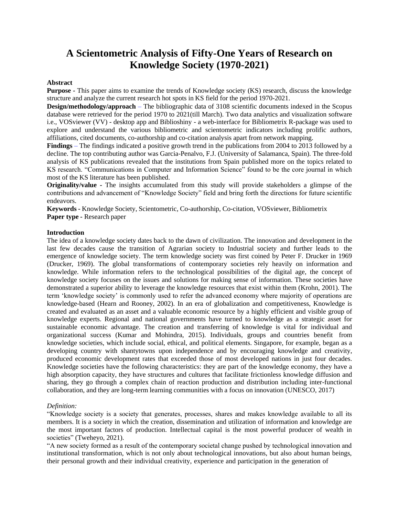# **A Scientometric Analysis of Fifty-One Years of Research on Knowledge Society (1970-2021)**

#### **Abstract**

**Purpose -** This paper aims to examine the trends of Knowledge society (KS) research, discuss the knowledge structure and analyze the current research hot spots in KS field for the period 1970-2021.

**Design/methodology/approach** – The bibliographic data of 3108 scientific documents indexed in the Scopus database were retrieved for the period 1970 to 2021(till March). Two data analytics and visualization software i.e., VOSviewer (VV) - desktop app and Biblioshiny - a web-interface for Bibliometrix R-package was used to explore and understand the various bibliometric and scientometric indicators including prolific authors, affiliations, cited documents, co-authorship and co-citation analysis apart from network mapping.

**Findings** – The findings indicated a positive growth trend in the publications from 2004 to 2013 followed by a decline. The top contributing author was Garcia-Penalvo, F.J. (University of Salamanca, Spain). The three-fold analysis of KS publications revealed that the institutions from Spain published more on the topics related to KS research. "Communications in Computer and Information Science" found to be the core journal in which most of the KS literature has been published.

**Originality/value -** The insights accumulated from this study will provide stakeholders a glimpse of the contributions and advancement of "Knowledge Society" field and bring forth the directions for future scientific endeavors.

**Keywords -** Knowledge Society, Scientometric, Co-authorship, Co-citation, VOSviewer, Bibliometrix **Paper type -** Research paper

#### **Introduction**

The idea of a knowledge society dates back to the dawn of civilization. The innovation and development in the last few decades cause the transition of Agrarian society to Industrial society and further leads to the emergence of knowledge society. The term knowledge society was first coined by Peter F. Drucker in 1969 (Drucker, 1969). The global transformations of contemporary societies rely heavily on information and knowledge. While information refers to the technological possibilities of the digital age, the concept of knowledge society focuses on the issues and solutions for making sense of information. These societies have demonstrated a superior ability to leverage the knowledge resources that exist within them (Krohn, 2001). The term 'knowledge society' is commonly used to refer the advanced economy where majority of operations are knowledge-based (Hearn and Rooney, 2002). In an era of globalization and competitiveness, Knowledge is created and evaluated as an asset and a valuable economic resource by a highly efficient and visible group of knowledge experts. Regional and national governments have turned to knowledge as a strategic asset for sustainable economic advantage. The creation and transferring of knowledge is vital for individual and organizational success (Kumar and Mohindra, 2015). Individuals, groups and countries benefit from knowledge societies, which include social, ethical, and political elements. Singapore, for example, began as a developing country with shantytowns upon independence and by encouraging knowledge and creativity, produced economic development rates that exceeded those of most developed nations in just four decades. Knowledge societies have the following characteristics: they are part of the knowledge economy, they have a high absorption capacity, they have structures and cultures that facilitate frictionless knowledge diffusion and sharing, they go through a complex chain of reaction production and distribution including inter-functional collaboration, and they are long-term learning communities with a focus on innovation (UNESCO, 2017)

#### *Definition:*

"Knowledge society is a society that generates, processes, shares and makes knowledge available to all its members. It is a society in which the creation, dissemination and utilization of information and knowledge are the most important factors of production. Intellectual capital is the most powerful producer of wealth in societies" (Tweheyo, 2021).

"A new society formed as a result of the contemporary societal change pushed by technological innovation and institutional transformation, which is not only about technological innovations, but also about human beings, their personal growth and their individual creativity, experience and participation in the generation of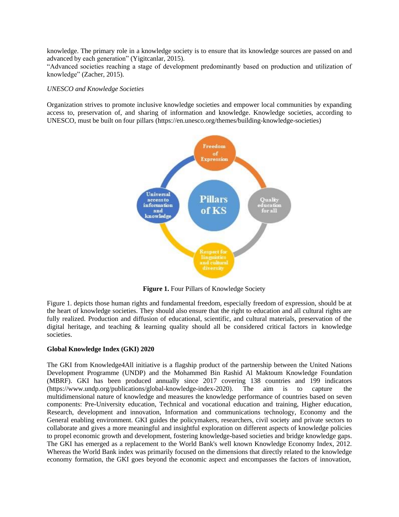knowledge. The primary role in a knowledge society is to ensure that its knowledge sources are passed on and advanced by each generation" (Yigitcanlar, 2015).

"Advanced societies reaching a stage of development predominantly based on production and utilization of knowledge" (Zacher, 2015).

#### *UNESCO and Knowledge Societies*

Organization strives to promote inclusive knowledge societies and empower local communities by expanding access to, preservation of, and sharing of information and knowledge. Knowledge societies, according to UNESCO, must be built on four pillars [\(https://en.unesco.org/themes/building-knowledge-societies\)](https://en.unesco.org/themes/building-knowledge-societies)



**Figure 1.** Four Pillars of Knowledge Society

Figure 1. depicts those human rights and fundamental freedom, especially freedom of expression, should be at the heart of knowledge societies. They should also ensure that the right to education and all cultural rights are fully realized. Production and diffusion of educational, scientific, and cultural materials, preservation of the digital heritage, and teaching & learning quality should all be considered critical factors in knowledge societies.

#### **Global Knowledge Index (GKI) 2020**

The GKI from Knowledge4All initiative is a flagship product of the partnership between the United Nations Development Programme (UNDP) and the Mohammed Bin Rashid Al Maktoum Knowledge Foundation (MBRF). GKI has been produced annually since 2017 covering 138 countries and 199 indicators [\(https://www.undp.org/publications/global-knowledge-index-2020\)](https://www.undp.org/publications/global-knowledge-index-2020). The aim is to capture the multidimensional nature of knowledge and measures the knowledge performance of countries based on seven components: Pre-University education, Technical and vocational education and training, Higher education, Research, development and innovation, Information and communications technology, Economy and the General enabling environment. GKI guides the policymakers, researchers, civil society and private sectors to collaborate and gives a more meaningful and insightful exploration on different aspects of knowledge policies to propel economic growth and development, fostering knowledge-based societies and bridge knowledge gaps. The GKI has emerged as a replacement to the World Bank's well known Knowledge Economy Index, 2012. Whereas the World Bank index was primarily focused on the dimensions that directly related to the knowledge economy formation, the GKI goes beyond the economic aspect and encompasses the factors of innovation,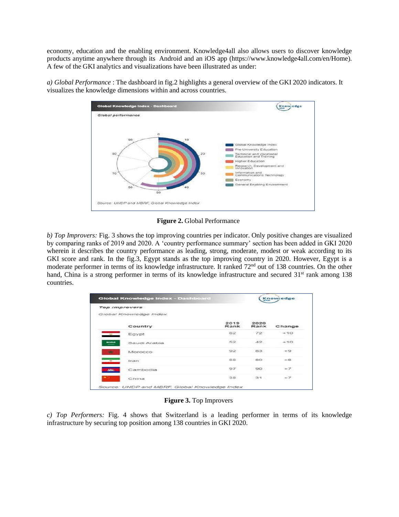economy, education and the enabling environment. Knowledge4all also allows users to discover knowledge products anytime anywhere through its Android and an iOS app [\(https://www.knowledge4all.com/en/Home\)](https://www.knowledge4all.com/en/Home). A few of the GKI analytics and visualizations have been illustrated as under:



*a) Global Performance* : The dashboard in fig.2 highlights a general overview of the GKI 2020 indicators. It visualizes the knowledge dimensions within and across countries.

**Figure 2.** Global Performance

*b) Top Improvers:* Fig. 3 shows the top improving countries per indicator. Only positive changes are visualized by comparing ranks of 2019 and 2020. A 'country performance summary' section has been added in GKI 2020 wherein it describes the country performance as leading, strong, moderate, modest or weak according to its GKI score and rank. In the fig.3, Egypt stands as the top improving country in 2020. However, Egypt is a moderate performer in terms of its knowledge infrastructure. It ranked 72<sup>nd</sup> out of 138 countries. On the other hand, China is a strong performer in terms of its knowledge infrastructure and secured 31<sup>st</sup> rank among 138 countries.

| Global Knowledge Index - Dashboard |                        |              |              | <b>Knowiedge</b> |  |
|------------------------------------|------------------------|--------------|--------------|------------------|--|
|                                    | Top improvers          |              |              |                  |  |
|                                    | Global Knowledge Index |              |              |                  |  |
|                                    | Country                | 2019<br>Rank | 2020<br>Rank | Change           |  |
| <b>CONTRACTOR</b>                  | Egypt                  | 82           | 72           | $+10$            |  |
| <b>BURNE</b>                       | Saudi Arabia           | 52           | 42           | $+10$            |  |
|                                    | Morocco                | 92           | 83           | $+9$             |  |
| $-$                                | Iran                   | 88           | 80           | $+8$             |  |
| <b>SOL</b>                         | Cambodia               | 97           | 90           | $+7$             |  |
|                                    | China                  | 38           | 31           | $+7$             |  |

**Figure 3.** Top Improvers

*c) Top Performers:* Fig. 4 shows that Switzerland is a leading performer in terms of its knowledge infrastructure by securing top position among 138 countries in GKI 2020.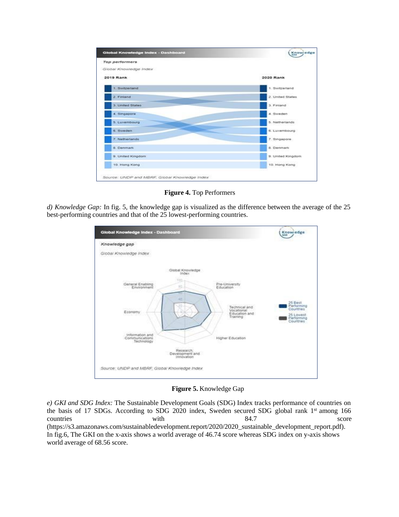

**Figure 4.** Top Performers

*d) Knowledge Gap:* In fig. 5, the knowledge gap is visualized as the difference between the average of the 25 best-performing countries and that of the 25 lowest-performing countries.

| Global Knowledge Index - Dashboard                                              | Knowjedge<br>448                                                           |
|---------------------------------------------------------------------------------|----------------------------------------------------------------------------|
| Knowledge gap                                                                   |                                                                            |
| Global Knowledge Index                                                          |                                                                            |
| Global Knowledge<br>Index                                                       |                                                                            |
| 100<br>General Enabling<br>Environment<br>Pre-University<br>Education           |                                                                            |
| Technical and<br>Vocational<br>Economy<br>Education and<br>15211101<br>Training | 25 Best<br>Performing<br>Countries<br>25 Lowest<br>Performing<br>Countries |
| information and<br>Higher Education<br>Communications<br>Technology             |                                                                            |
| Research:<br>Development and<br>Innovation                                      |                                                                            |
| Source: UNDP and MBRF, Global Knowledge Index                                   |                                                                            |

**Figure 5.** Knowledge Gap

*e) GKI and SDG Index:* The Sustainable Development Goals (SDG) Index tracks performance of countries on the basis of 17 SDGs. According to SDG 2020 index, Sweden secured SDG global rank 1<sup>st</sup> among 166 countries with  $84.7$  score (https://s3.amazonaws.com/sustainabledevelopment.report/2020/2020\_sustainable\_development\_report.pdf). In fig.6, The GKI on the x-axis shows a world average of 46.74 score whereas SDG index on y-axis shows world average of 68.56 score.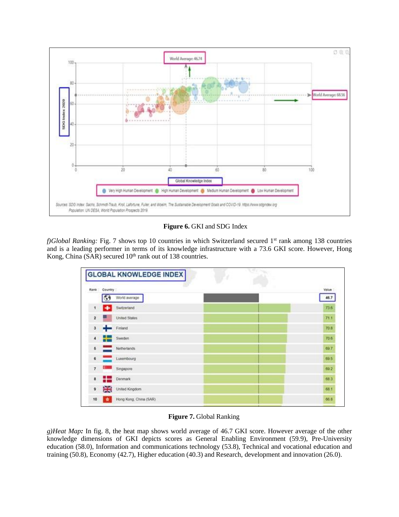

## **Figure 6.** GKI and SDG Index

*f)Global Ranking:* Fig. 7 shows top 10 countries in which Switzerland secured 1<sup>st</sup> rank among 138 countries and is a leading performer in terms of its knowledge infrastructure with a 73.6 GKI score. However, Hong Kong, China (SAR) secured 10<sup>th</sup> rank out of 138 countries.

| Rank Country   |                | <b>MACCO</b><br>Value |
|----------------|----------------|-----------------------|
|                | World average  | 46.7                  |
| 1 <sup>1</sup> | Switzerland    | 73.6                  |
| $\overline{2}$ | United States  | 71.1                  |
| з              | $F$ niand      | 70.8                  |
|                | 4 Sweden       | 70.6                  |
| 6              | Netherlands    | 69.7                  |
| 6              | Luxembourg     | 69.5                  |
| $\tau$         | Singapore      | 69.2                  |
| 8              | <b>Donmark</b> | 68.3                  |
| 9              | United Kingdom | 68.1                  |

# **Figure 7.** Global Ranking

*g)Heat Map:* In fig. 8, the heat map shows world average of 46.7 GKI score. However average of the other knowledge dimensions of GKI depicts scores as General Enabling Environment (59.9), Pre-University education (58.0), Information and communications technology (53.8), Technical and vocational education and training (50.8), Economy (42.7), Higher education (40.3) and Research, development and innovation (26.0).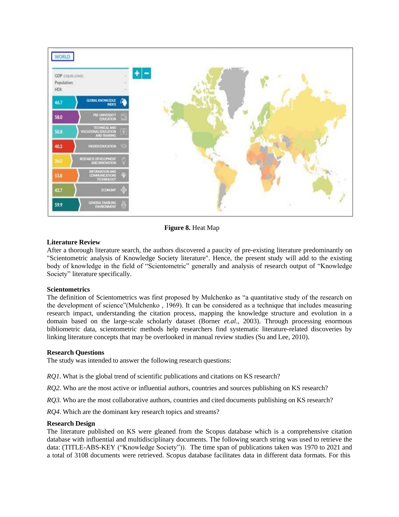

**Figure 8.** Heat Map

# **Literature Review**

After a thorough literature search, the authors discovered a paucity of pre-existing literature predominantly on "Scientometric analysis of Knowledge Society literature". Hence, the present study will add to the existing body of knowledge in the field of "Scientometric" generally and analysis of research output of "Knowledge Society" literature specifically.

#### **Scientometrics**

The definition of Scientometrics was first proposed by Mulchenko as "a quantitative study of the research on the development of science"(Mulchenko , 1969). It can be considered as a technique that includes measuring research impact, understanding the citation process, mapping the knowledge structure and evolution in a domain based on the large-scale scholarly dataset (Borner *et.al*., 2003). Through processing enormous bibliometric data, scientometric methods help researchers find systematic literature-related discoveries by linking literature concepts that may be overlooked in manual review studies (Su and Lee, 2010).

#### **Research Questions**

The study was intended to answer the following research questions:

*RO1*. What is the global trend of scientific publications and citations on KS research?

*RO2.* Who are the most active or influential authors, countries and sources publishing on KS research?

*RQ3*. Who are the most collaborative authors, countries and cited documents publishing on KS research?

*RQ4*. Which are the dominant key research topics and streams?

#### **Research Design**

The literature published on KS were gleaned from the Scopus database which is a comprehensive citation database with influential and multidisciplinary documents. The following search string was used to retrieve the data: (TITLE-ABS-KEY ("Knowledge Society")). The time span of publications taken was 1970 to 2021 and a total of 3108 documents were retrieved. Scopus database facilitates data in different data formats. For this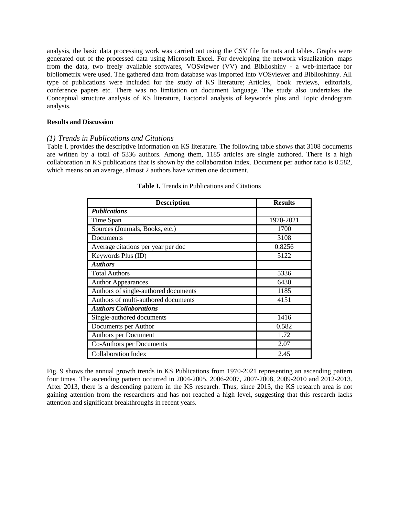analysis, the basic data processing work was carried out using the CSV file formats and tables. Graphs were generated out of the processed data using Microsoft Excel. For developing the network visualization maps from the data, two freely available softwares, VOSviewer (VV) and Biblioshiny - a web-interface for bibliometrix were used. The gathered data from database was imported into VOSviewer and Biblioshinny. All type of publications were included for the study of KS literature; Articles, book reviews, editorials, conference papers etc. There was no limitation on document language. The study also undertakes the Conceptual structure analysis of KS literature, Factorial analysis of keywords plus and Topic dendogram analysis.

#### **Results and Discussion**

## *(1) Trends in Publications and Citations*

Table I. provides the descriptive information on KS literature. The following table shows that 3108 documents are written by a total of 5336 authors. Among them, 1185 articles are single authored. There is a high collaboration in KS publications that is shown by the collaboration index. Document per author ratio is 0.582, which means on an average, almost 2 authors have written one document.

| <b>Description</b>                   | <b>Results</b> |
|--------------------------------------|----------------|
| <b>Publications</b>                  |                |
| Time Span                            | 1970-2021      |
| Sources (Journals, Books, etc.)      | 1700           |
| Documents                            | 3108           |
| Average citations per year per doc   | 0.8256         |
| Keywords Plus (ID)                   | 5122           |
| <b>Authors</b>                       |                |
| <b>Total Authors</b>                 | 5336           |
| <b>Author Appearances</b>            | 6430           |
| Authors of single-authored documents | 1185           |
| Authors of multi-authored documents  | 4151           |
| <b>Authors Collaborations</b>        |                |
| Single-authored documents            | 1416           |
| Documents per Author                 | 0.582          |
| Authors per Document                 | 1.72           |
| Co-Authors per Documents             | 2.07           |
| <b>Collaboration Index</b>           | 2.45           |

#### **Table I.** Trends in Publications and Citations

Fig. 9 shows the annual growth trends in KS Publications from 1970-2021 representing an ascending pattern four times. The ascending pattern occurred in 2004-2005, 2006-2007, 2007-2008, 2009-2010 and 2012-2013. After 2013, there is a descending pattern in the KS research. Thus, since 2013, the KS research area is not gaining attention from the researchers and has not reached a high level, suggesting that this research lacks attention and significant breakthroughs in recent years.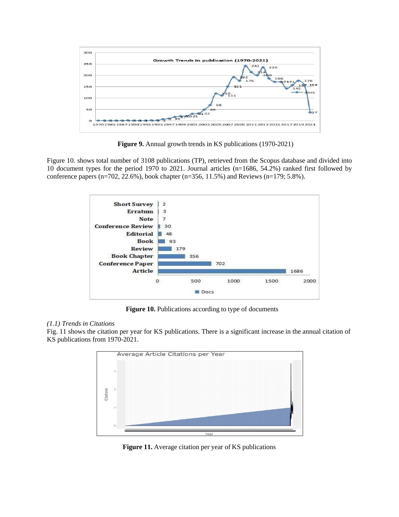

**Figure 9.** Annual growth trends in KS publications (1970-2021)

Figure 10. shows total number of 3108 publications (TP), retrieved from the Scopus database and divided into 10 document types for the period 1970 to 2021. Journal articles (n=1686, 54.2%) ranked first followed by conference papers (n=702, 22.6%), book chapter (n=356, 11.5%) and Reviews (n=179; 5.8%).



**Figure 10.** Publications according to type of documents

# *(1.1) Trends in Citations*

Fig. 11 shows the citation per year for KS publications. There is a significant increase in the annual citation of KS publications from 1970-2021.



**Figure 11.** Average citation per year of KS publications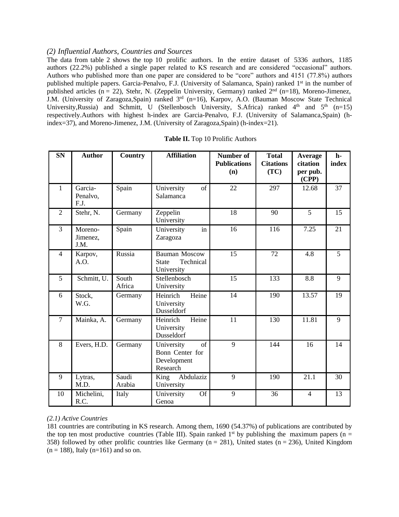# *(2) Influential Authors, Countries and Sources*

The data from table 2 shows the top 10 prolific authors. In the entire dataset of 5336 authors, 1185 authors (22.2%) published a single paper related to KS research and are considered "occasional" authors. Authors who published more than one paper are considered to be "core" authors and 4151 (77.8%) authors published multiple papers. Garcia-Penalvo, F.J. (University of Salamanca, Spain) ranked 1<sup>st</sup> in the number of published articles (n = 22), [Stehr,](https://www.scopus.com/authid/detail.uri?authorId=6701695237&origin=resultsAnalyzer&zone=authorName) N. (Zeppelin University, Germany) ranked  $2<sup>nd</sup>$  (n=18), Moreno-Jimenez, J.M. (University of Zaragoza,Spain) ranked 3rd (n=16), Karpov, A.O. (Bauman Moscow State Technical University, Russia) and Schmitt, U (Stellenbosch University, S.Africa) ranked 4<sup>th</sup> and 5<sup>th</sup> (n=15) respectively.Authors with highest h-index are Garcia-Penalvo, F.J. (University of Salamanca,Spain) (hindex=37), and Moreno-Jimenez, J.M. (University of Zaragoza,Spain) (h-index=21).

| <b>SN</b>      | <b>Author</b>               | Country         | <b>Affiliation</b>                                              | Number of<br><b>Publications</b><br>(n) | <b>Total</b><br><b>Citations</b><br>(TC) | Average<br>citation<br>per pub.<br>(CPP) | $h-$<br>index |
|----------------|-----------------------------|-----------------|-----------------------------------------------------------------|-----------------------------------------|------------------------------------------|------------------------------------------|---------------|
| $\mathbf{1}$   | Garcia-<br>Penalvo,<br>F.J. | Spain           | <sub>of</sub><br>University<br>Salamanca                        | 22                                      | 297                                      | 12.68                                    | 37            |
| $\overline{2}$ | Stehr, N.                   | Germany         | Zeppelin<br>University                                          | 18                                      | 90                                       | 5                                        | 15            |
| $\overline{3}$ | Moreno-<br>Jimenez,<br>J.M. | Spain           | University<br>in<br>Zaragoza                                    | 16                                      | 116                                      | 7.25                                     | 21            |
| $\overline{4}$ | Karpov,<br>A.O.             | Russia          | <b>Bauman Moscow</b><br>Technical<br><b>State</b><br>University | 15                                      | 72                                       | 4.8                                      | 5             |
| 5              | Schmitt, U.                 | South<br>Africa | Stellenbosch<br>University                                      | 15                                      | 133                                      | 8.8                                      | 9             |
| 6              | Stock,<br>W.G.              | Germany         | Heinrich<br>Heine<br>University<br>Dusseldorf                   | 14                                      | 190                                      | 13.57                                    | 19            |
| $\overline{7}$ | Mainka, A.                  | Germany         | Heinrich<br>Heine<br>University<br>Dusseldorf                   | 11                                      | 130                                      | 11.81                                    | 9             |
| 8              | Evers, H.D.                 | Germany         | University<br>of<br>Bonn Center for<br>Development<br>Research  | 9                                       | 144                                      | 16                                       | 14            |
| 9              | Lytras,<br>M.D.             | Saudi<br>Arabia | King<br>Abdulaziz<br>University                                 | 9                                       | 190                                      | 21.1                                     | 30            |
| 10             | Michelini,<br>R.C.          | Italy           | <b>Of</b><br>University<br>Genoa                                | 9                                       | 36                                       | $\overline{4}$                           | 13            |

# *(2.1) Active Countries*

181 countries are contributing in KS research. Among them, 1690 (54.37%) of publications are contributed by the top ten most productive countries (Table III). Spain ranked  $1<sup>st</sup>$  by publishing the maximum papers (n = 358) followed by other prolific countries like Germany ( $n = 281$ ), United states ( $n = 236$ ), United Kingdom  $(n = 188)$ , Italy  $(n=161)$  and so on.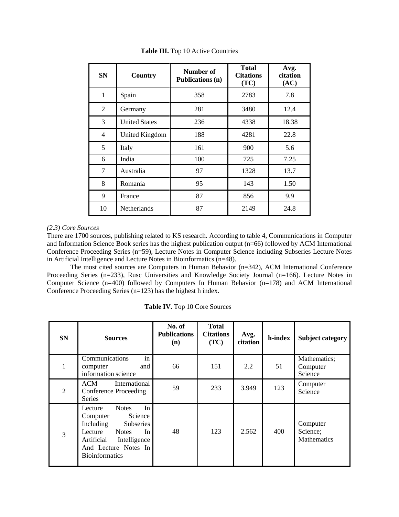| <b>SN</b>      | Country              | Number of<br><b>Publications (n)</b> | <b>Total</b><br><b>Citations</b><br>(TC) | Avg.<br>citation<br>(AC) |
|----------------|----------------------|--------------------------------------|------------------------------------------|--------------------------|
| $\mathbf{1}$   | Spain                | 358                                  | 2783                                     | 7.8                      |
| 2              | Germany              | 281                                  | 3480                                     | 12.4                     |
| 3              | <b>United States</b> | 236                                  | 4338                                     | 18.38                    |
| $\overline{4}$ | United Kingdom       | 188                                  | 4281                                     | 22.8                     |
| 5              | Italy                | 161                                  | 900                                      | 5.6                      |
| 6              | India                | 100                                  | 725                                      | 7.25                     |
| $\overline{7}$ | Australia            | 97                                   | 1328                                     | 13.7                     |
| 8              | Romania              | 95                                   | 143                                      | 1.50                     |
| 9              | France               | 87                                   | 856                                      | 9.9                      |
| 10             | Netherlands          | 87                                   | 2149                                     | 24.8                     |

**Table III.** Top 10 Active Countries

## *(2.3) Core Sources*

There are 1700 sources, publishing related to KS research. According to table 4, Communications in Computer and Information Science Book series has the highest publication output (n=66) followed by ACM International Conference Proceeding Series (n=59), [Lecture Notes in Computer Science including Subseries Lecture Notes](https://www.scopus.com/sourceid/25674?origin=resultsAnalyzer&zone=sourceTitle) in Artificial [Intelligence and](https://www.scopus.com/sourceid/25674?origin=resultsAnalyzer&zone=sourceTitle) Lecture Notes in Bioinformatics (n=48).

The most cited sources are Computers in Human Behavior (n=342), ACM International Conference Proceeding Series (n=233), Rusc Universities and Knowledge Society Journal (n=166). Lecture Notes in Computer Science (n=400) followed by Computers In [Human Behavior](https://www.scopus.com/sourceid/19419?origin=resultsAnalyzer&zone=sourceTitle) (n=178) and ACM International Conference Proceeding Series (n=123) has the highest h index.

| <b>SN</b>      | <b>Sources</b>                                                                                                                                                                                 | No. of<br><b>Publications</b><br>(n) | <b>Total</b><br><b>Citations</b><br>(TC) | Avg.<br>citation | h-index | <b>Subject category</b>             |
|----------------|------------------------------------------------------------------------------------------------------------------------------------------------------------------------------------------------|--------------------------------------|------------------------------------------|------------------|---------|-------------------------------------|
| 1              | in<br>Communications<br>and<br>computer<br>information science                                                                                                                                 | 66                                   | 151                                      | 2.2              | 51      | Mathematics;<br>Computer<br>Science |
| $\overline{2}$ | ACM<br>International<br>Conference Proceeding<br><b>Series</b>                                                                                                                                 | 59                                   | 233                                      | 3.949            | 123     | Computer<br>Science                 |
| 3              | In<br><b>Notes</b><br>Lecture<br>Science<br>Computer<br>Including<br>Subseries<br>Lecture<br><b>Notes</b><br>In<br>Artificial<br>Intelligence<br>And Lecture Notes In<br><b>Bioinformatics</b> | 48                                   | 123                                      | 2.562            | 400     | Computer<br>Science;<br>Mathematics |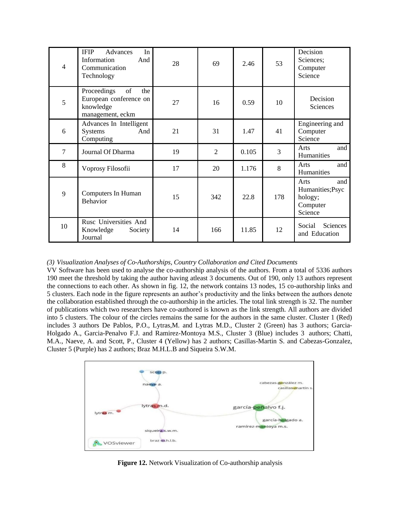| $\overline{4}$ | <b>IFIP</b><br>In<br>Advances<br>And<br>Information<br>Communication<br>Technology  | 28 | 69             | 2.46  | 53  | Decision<br>Sciences;<br>Computer<br>Science                      |
|----------------|-------------------------------------------------------------------------------------|----|----------------|-------|-----|-------------------------------------------------------------------|
| 5              | of<br>Proceedings<br>the<br>European conference on<br>knowledge<br>management, eckm | 27 | 16             | 0.59  | 10  | Decision<br>Sciences                                              |
| 6              | Advances In Intelligent<br><b>Systems</b><br>And<br>Computing                       | 21 | 31             | 1.47  | 41  | Engineering and<br>Computer<br>Science                            |
| $\overline{7}$ | Journal Of Dharma                                                                   | 19 | $\overline{2}$ | 0.105 | 3   | and<br>Arts<br>Humanities                                         |
| 8              | Voprosy Filosofii                                                                   | 17 | 20             | 1.176 | 8   | and<br>Arts<br>Humanities                                         |
| 9              | Computers In Human<br><b>Behavior</b>                                               | 15 | 342            | 22.8  | 178 | and<br>Arts<br>Humanities; Psyc<br>hology;<br>Computer<br>Science |
| 10             | Rusc Universities And<br>Knowledge<br>Society<br>Journal                            | 14 | 166            | 11.85 | 12  | Sciences<br>Social<br>and Education                               |

## *(3) Visualization Analyses of Co-Authorships, Country Collaboration and Cited Documents*

VV Software has been used to analyse the co-authorship analysis of the authors. From a total of 5336 authors 190 meet the threshold by taking the author having atleast 3 documents. Out of 190, only 13 authors represent the connections to each other. As shown in fig. 12, the network contains 13 nodes, 15 co-authorship links and 5 clusters. Each node in the figure represents an author's productivity and the links between the authors denote the collaboration established through the co-authorship in the articles. The total link strength is 32. The number of publications which two researchers have co-authored is known as the link strength. All authors are divided into 5 clusters. The colour of the circles remains the same for the authors in the same cluster. Cluster 1 (Red) includes 3 authors De Pablos, P.O., Lytras,M. and Lytras M.D., Cluster 2 (Green) has 3 authors; Garcia-Holgado A., Garcia-Penalvo F.J. and Ramirez-Montoya M.S., Cluster 3 (Blue) includes 3 authors; Chatti, M.A., Naeve, A. and Scott, P., Cluster 4 (Yellow) has 2 authors; Casillas-Martin S. and Cabezas-Gonzalez, Cluster 5 (Purple) has 2 authors; Braz M.H.L.B and Siqueira S.W.M.



**Figure 12.** Network Visualization of Co-authorship analysis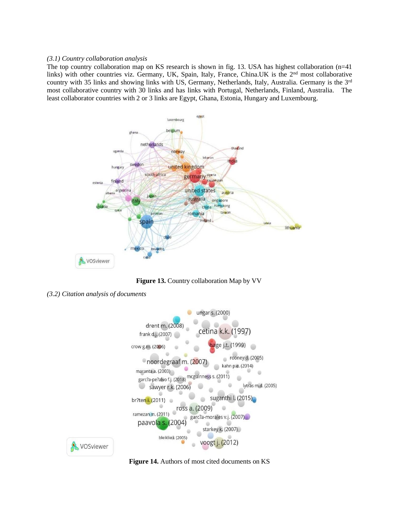#### *(3.1) Country collaboration analysis*

The top country collaboration map on KS research is shown in fig. 13. USA has highest collaboration (n=41 links) with other countries viz. Germany, UK, Spain, Italy, France, China.UK is the 2<sup>nd</sup> most collaborative country with 35 links and showing links with US, Germany, Netherlands, Italy, Australia. Germany is the 3rd most collaborative country with 30 links and has links with Portugal, Netherlands, Finland, Australia. The least collaborator countries with 2 or 3 links are Egypt, Ghana, Estonia, Hungary and Luxembourg.



**Figure 13.** Country collaboration Map by VV

*(3.2) Citation analysis of documents*



**Figure 14.** Authors of most cited documents on KS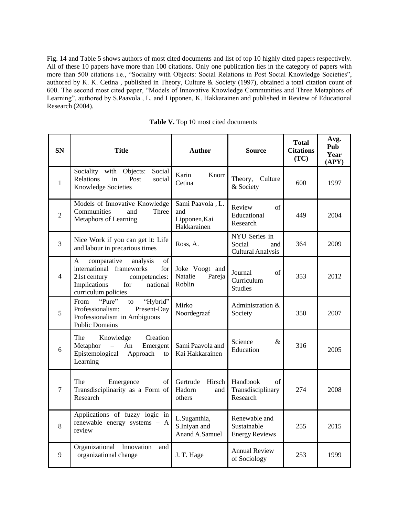Fig. 14 and Table 5 shows authors of most cited documents and list of top 10 highly cited papers respectively. All of these 10 papers have more than 100 citations. Only one publication lies in the category of papers with more than 500 citations i.e., "Sociality with Objects: Social Relations in Post Social Knowledge Societies", authored by [K. K. Cetina ,](https://journals.sagepub.com/doi/10.1177/026327697014004001) published in Theory, Culture & Society (1997), obtained a total citation count of 600. The second most cited paper, "Models of Innovative Knowledge Communities and Three Metaphors of Learning", authored by [S.Paavola ,](https://journals.sagepub.com/doi/10.3102/00346543074004557) L. and [Lipponen, K. Hakkarainen a](https://journals.sagepub.com/doi/10.3102/00346543074004557)nd published in Review of Educational Research (2004).

**Table V.** Top 10 most cited documents

| <b>SN</b>      | <b>Title</b>                                                                                                                                                     | <b>Author</b>                                           | <b>Source</b>                                              | <b>Total</b><br><b>Citations</b><br>(TC) | Avg.<br>Pub<br>Year<br>(APY) |
|----------------|------------------------------------------------------------------------------------------------------------------------------------------------------------------|---------------------------------------------------------|------------------------------------------------------------|------------------------------------------|------------------------------|
| $\mathbf{1}$   | Sociality<br>with Objects:<br>Social<br>Relations<br>Post<br>in<br>social<br>Knowledge Societies                                                                 | Karin<br>Knorr<br>Cetina                                | Theory,<br>Culture<br>& Society                            | 600                                      | 1997                         |
| $\overline{2}$ | Models of Innovative Knowledge<br>Communities<br>Three<br>and<br>Metaphors of Learning                                                                           | Sami Paavola, L.<br>and<br>Lipponen, Kai<br>Hakkarainen | Review<br>of<br>Educational<br>Research                    | 449                                      | 2004                         |
| $\overline{3}$ | Nice Work if you can get it: Life<br>and labour in precarious times                                                                                              | Ross, A.                                                | NYU Series in<br>Social<br>and<br><b>Cultural Analysis</b> | 364                                      | 2009                         |
| 4              | comparative<br>of<br>A<br>analysis<br>international frameworks<br>for<br>21st century<br>competencies:<br>Implications<br>for<br>national<br>curriculum policies | Joke Voogt and<br>Natalie<br>Pareja<br>Roblin           | Journal<br><sub>of</sub><br>Curriculum<br><b>Studies</b>   | 353                                      | 2012                         |
| 5              | "Pure"<br>"Hybrid"<br>From<br>to<br>Professionalism:<br>Present-Day<br>Professionalism in Ambiguous<br><b>Public Domains</b>                                     | Mirko<br>Noordegraaf                                    | Administration &<br>Society                                | 350                                      | 2007                         |
| 6              | The<br>Creation<br>Knowledge<br>Metaphor<br>Emergent<br>An<br>$\equiv$<br>Epistemological<br>Approach<br>to<br>Learning                                          | Sami Paavola and<br>Kai Hakkarainen                     | Science<br>&<br>Education                                  | 316                                      | 2005                         |
| 7              | The<br>Emergence<br>of<br>Transdisciplinarity as a Form of<br>Research                                                                                           | Gertrude<br>Hirsch<br>Hadorn<br>and<br>others           | Handbook<br>of<br>Transdisciplinary<br>Research            | 274                                      | 2008                         |
| 8              | Applications of fuzzy logic in<br>renewable energy systems - A<br>review                                                                                         | L.Suganthia,<br>S.Iniyan and<br>Anand A.Samuel          | Renewable and<br>Sustainable<br><b>Energy Reviews</b>      | 255                                      | 2015                         |
| 9              | Organizational<br>Innovation<br>and<br>organizational change                                                                                                     | J. T. Hage                                              | <b>Annual Review</b><br>of Sociology                       | 253                                      | 1999                         |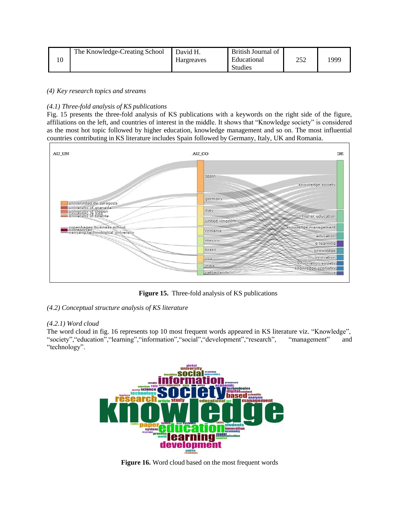| The Knowledge-Creating School | David H.   | British Journal of            |             |      |
|-------------------------------|------------|-------------------------------|-------------|------|
|                               | Hargreaves | Educational<br><b>Studies</b> | ר בר<br>ے ب | 1999 |
|                               |            |                               |             |      |

## *(4) Key research topics and streams*

# *(4.1) Three-fold analysis of KS publications*

Fig. 15 presents the three-fold analysis of KS publications with a keywords on the right side of the figure, affiliations on the left, and countries of interest in the middle. It shows that "Knowledge society" is considered as the most hot topic followed by higher education, knowledge management and so on. The most influential countries contributing in KS literature includes Spain followed by Germany, Italy, UK and Romania.



**Figure 15.** Three-fold analysis of KS publications

# *(4.2) Conceptual structure analysis of KS literature*

# *(4.2.1) Word cloud*

The word cloud in fig. 16 represents top 10 most frequent words appeared in KS literature viz. "Knowledge", "society","education","learning","information","social","development","research", "management" and "technology".



**Figure 16.** Word cloud based on the most frequent words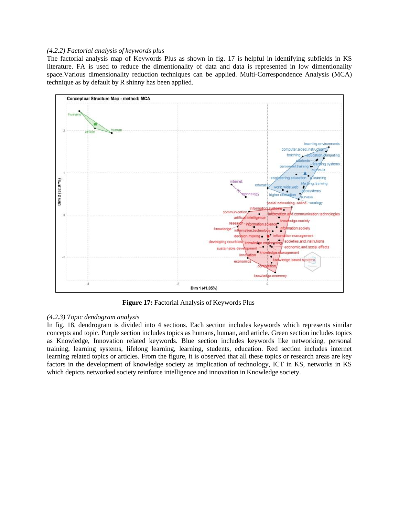#### *(4.2.2) Factorial analysis of keywords plus*

The factorial analysis map of Keywords Plus as shown in fig. 17 is helpful in identifying subfields in KS literature. FA is used to reduce the dimentionality of data and data is represented in low dimentionality space.Various dimensionality reduction techniques can be applied. Multi-Correspondence Analysis (MCA) technique as by default by R shinny has been applied.



**Figure 17:** Factorial Analysis of Keywords Plus

# *(4.2.3) Topic dendogram analysis*

In fig. 18, dendrogram is divided into 4 sections. Each section includes keywords which represents similar concepts and topic. Purple section includes topics as humans, human, and article. Green section includes topics as Knowledge, Innovation related keywords. Blue section includes keywords like networking, personal training, learning systems, lifelong learning, learning, students, education. Red section includes internet learning related topics or articles. From the figure, it is observed that all these topics or research areas are key factors in the development of knowledge society as implication of technology, ICT in KS, networks in KS which depicts networked society reinforce intelligence and innovation in Knowledge society.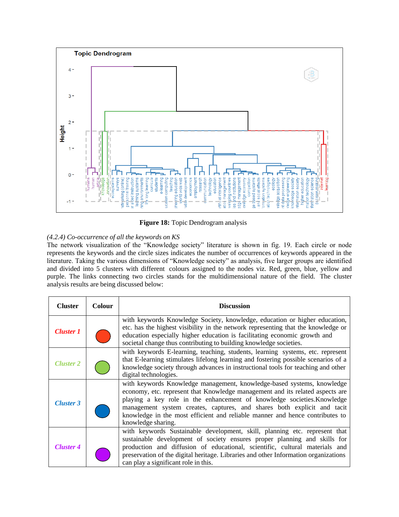

**Figure 18:** Topic Dendrogram analysis

# *(4.2.4) Co-occurrence of all the keywords on KS*

The network visualization of the "Knowledge society" literature is shown in fig. 19. Each circle or node represents the keywords and the circle sizes indicates the number of occurrences of keywords appeared in the literature. Taking the various dimensions of "Knowledge society" as analysis, five larger groups are identified and divided into 5 clusters with different colours assigned to the nodes viz. Red, green, blue, yellow and purple. The links connecting two circles stands for the multidimensional nature of the field. The cluster analysis results are being discussed below:

| <b>Cluster</b>   | <b>Colour</b> | <b>Discussion</b>                                                                                                                                                                                                                                                                                                                                                                                                   |
|------------------|---------------|---------------------------------------------------------------------------------------------------------------------------------------------------------------------------------------------------------------------------------------------------------------------------------------------------------------------------------------------------------------------------------------------------------------------|
| <b>Cluster 1</b> |               | with keywords Knowledge Society, knowledge, education or higher education,<br>etc. has the highest visibility in the network representing that the knowledge or<br>education especially higher education is facilitating economic growth and<br>societal change thus contributing to building knowledge societies.                                                                                                  |
| <b>Cluster 2</b> |               | with keywords E-learning, teaching, students, learning systems, etc. represent<br>that E-learning stimulates lifelong learning and fostering possible scenarios of a<br>knowledge society through advances in instructional tools for teaching and other<br>digital technologies.                                                                                                                                   |
| <b>Cluster 3</b> |               | with keywords Knowledge management, knowledge-based systems, knowledge<br>economy, etc. represent that Knowledge management and its related aspects are<br>playing a key role in the enhancement of knowledge societies. Knowledge<br>management system creates, captures, and shares both explicit and tacit<br>knowledge in the most efficient and reliable manner and hence contributes to<br>knowledge sharing. |
| <b>Cluster 4</b> |               | with keywords Sustainable development, skill, planning etc. represent that<br>sustainable development of society ensures proper planning and skills for<br>production and diffusion of educational, scientific, cultural materials and<br>preservation of the digital heritage. Libraries and other Information organizations<br>can play a significant role in this.                                               |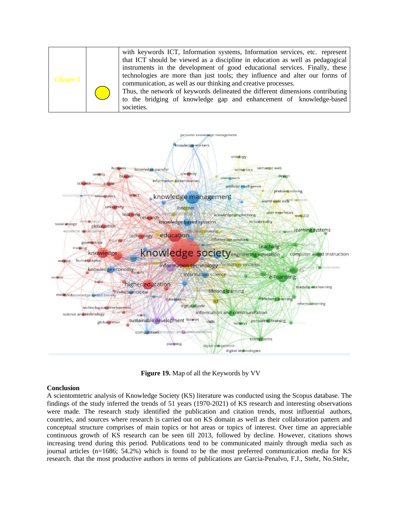| Cluster 5 |  | with keywords ICT, Information systems, Information services, etc. represent                                                                                                                                                                                                                                   |
|-----------|--|----------------------------------------------------------------------------------------------------------------------------------------------------------------------------------------------------------------------------------------------------------------------------------------------------------------|
|           |  | that ICT should be viewed as a discipline in education as well as pedagogical<br>instruments in the development of good educational services. Finally, these<br>technologies are more than just tools; they influence and alter our forms of<br>communication, as well as our thinking and creative processes. |
|           |  | Thus, the network of keywords delineated the different dimensions contributing<br>to the bridging of knowledge gap and enhancement of knowledge-based<br>societies.                                                                                                                                            |



**Figure 19.** Map of all the Keywords by VV

#### **Conclusion**

A scientomtetric analysis of Knowledge Society (KS) literature was conducted using the Scopus database. The findings of the study inferred the trends of 51 years (1970-2021) of KS research and interesting observations were made. The research study identified the publication and citation trends, most influential authors, countries, and sources where research is carried out on KS domain as well as their collaboration pattern and conceptual structure comprises of main topics or hot areas or topics of interest. Over time an appreciable continuous growth of KS research can be seen till 2013, followed by decline. However, citations shows increasing trend during this period. Publications tend to be communicated mainly through media such as journal articles (n=1686; 54.2%) which is found to be the most preferred communication media for KS research. that the most productive authors in terms of publications are Garcia-Penalvo, F.J., Stehr, No.Stehr,